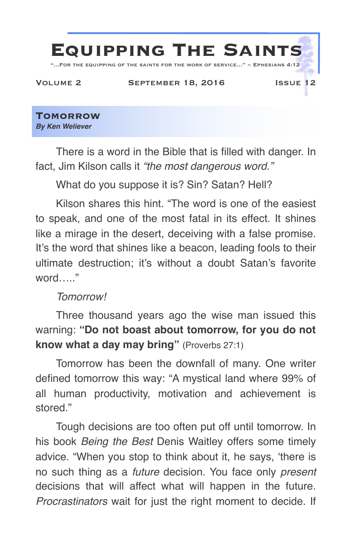

**Tomorrow** *By Ken Weliever*

There is a word in the Bible that is filled with danger. In fact, Jim Kilson calls it *"the most dangerous word."*

What do you suppose it is? Sin? Satan? Hell?

Kilson shares this hint. "The word is one of the easiest to speak, and one of the most fatal in its effect. It shines like a mirage in the desert, deceiving with a false promise. It's the word that shines like a beacon, leading fools to their ultimate destruction; it's without a doubt Satan's favorite word….."

## *Tomorrow!*

Three thousand years ago the wise man issued this warning: **"Do not boast about tomorrow, for you do not know what a day may bring"** (Proverbs 27:1)

Tomorrow has been the downfall of many. One writer defined tomorrow this way: "A mystical land where 99% of all human productivity, motivation and achievement is stored."

Tough decisions are too often put off until tomorrow. In his book *Being the Best* Denis Waitley offers some timely advice. "When you stop to think about it, he says, 'there is no such thing as a *future* decision. You face only *present*  decisions that will affect what will happen in the future. *Procrastinators* wait for just the right moment to decide. If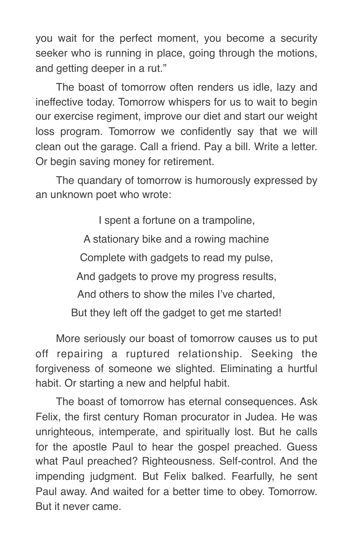you wait for the perfect moment, you become a security seeker who is running in place, going through the motions, and getting deeper in a rut."

The boast of tomorrow often renders us idle, lazy and ineffective today. Tomorrow whispers for us to wait to begin our exercise regiment, improve our diet and start our weight loss program. Tomorrow we confidently say that we will clean out the garage. Call a friend. Pay a bill. Write a letter. Or begin saving money for retirement.

The quandary of tomorrow is humorously expressed by an unknown poet who wrote:

> I spent a fortune on a trampoline, A stationary bike and a rowing machine Complete with gadgets to read my pulse, And gadgets to prove my progress results, And others to show the miles I've charted, But they left off the gadget to get me started!

More seriously our boast of tomorrow causes us to put off repairing a ruptured relationship. Seeking the forgiveness of someone we slighted. Eliminating a hurtful habit. Or starting a new and helpful habit.

The boast of tomorrow has eternal consequences. Ask Felix, the first century Roman procurator in Judea. He was unrighteous, intemperate, and spiritually lost. But he calls for the apostle Paul to hear the gospel preached. Guess what Paul preached? Righteousness. Self-control. And the impending judgment. But Felix balked. Fearfully, he sent Paul away. And waited for a better time to obey. Tomorrow. But it never came.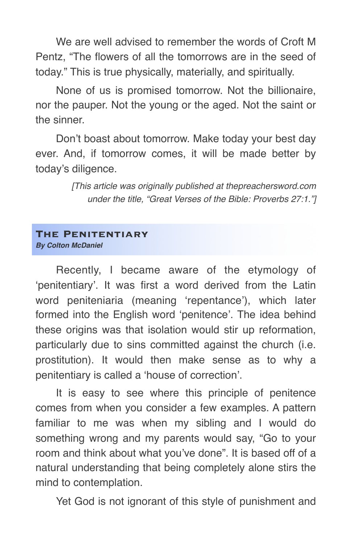We are well advised to remember the words of Croft M Pentz, "The flowers of all the tomorrows are in the seed of today." This is true physically, materially, and spiritually.

None of us is promised tomorrow. Not the billionaire, nor the pauper. Not the young or the aged. Not the saint or the sinner.

Don't boast about tomorrow. Make today your best day ever. And, if tomorrow comes, it will be made better by today's diligence.

> *[This article was originally published at thepreachersword.com under the title, "Great Verses of the Bible: Proverbs 27:1."]*

## **The Penitentiary**

*By Colton McDaniel*

Recently, I became aware of the etymology of 'penitentiary'. It was first a word derived from the Latin word peniteniaria (meaning 'repentance'), which later formed into the English word 'penitence'. The idea behind these origins was that isolation would stir up reformation, particularly due to sins committed against the church (i.e. prostitution). It would then make sense as to why a penitentiary is called a 'house of correction'.

It is easy to see where this principle of penitence comes from when you consider a few examples. A pattern familiar to me was when my sibling and I would do something wrong and my parents would say, "Go to your room and think about what you've done". It is based off of a natural understanding that being completely alone stirs the mind to contemplation.

Yet God is not ignorant of this style of punishment and